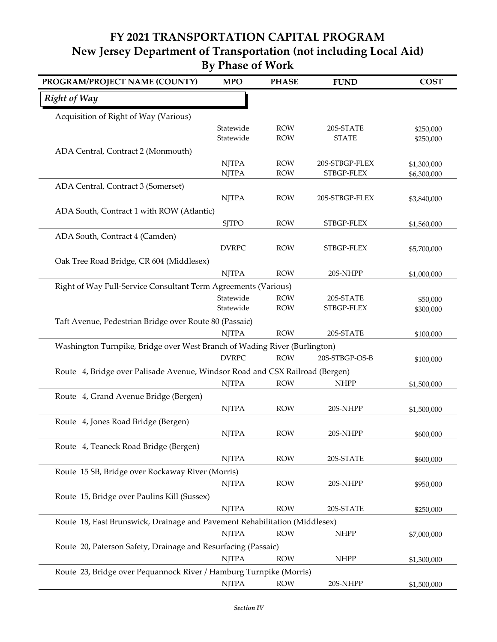**FY 2021 TRANSPORTATION CAPITAL PROGRAM By Phase of Work New Jersey Department of Transportation (not including Local Aid)**

| PROGRAM/PROJECT NAME (COUNTY)                                                | <b>MPO</b>                   | <b>PHASE</b>             | <b>FUND</b>                  | <b>COST</b>                |
|------------------------------------------------------------------------------|------------------------------|--------------------------|------------------------------|----------------------------|
| <b>Right of Way</b>                                                          |                              |                          |                              |                            |
| Acquisition of Right of Way (Various)                                        |                              |                          |                              |                            |
|                                                                              | Statewide                    | <b>ROW</b>               | 20S-STATE                    | \$250,000                  |
|                                                                              | Statewide                    | <b>ROW</b>               | <b>STATE</b>                 | \$250,000                  |
| ADA Central, Contract 2 (Monmouth)                                           |                              |                          |                              |                            |
|                                                                              | <b>NJTPA</b><br><b>NJTPA</b> | <b>ROW</b><br><b>ROW</b> | 20S-STBGP-FLEX<br>STBGP-FLEX | \$1,300,000<br>\$6,300,000 |
| ADA Central, Contract 3 (Somerset)                                           |                              |                          |                              |                            |
|                                                                              | <b>NJTPA</b>                 | <b>ROW</b>               | 20S-STBGP-FLEX               | \$3,840,000                |
| ADA South, Contract 1 with ROW (Atlantic)                                    |                              |                          |                              |                            |
|                                                                              | <b>SJTPO</b>                 | <b>ROW</b>               | STBGP-FLEX                   | \$1,560,000                |
| ADA South, Contract 4 (Camden)                                               |                              |                          |                              |                            |
|                                                                              | <b>DVRPC</b>                 | <b>ROW</b>               | STBGP-FLEX                   | \$5,700,000                |
| Oak Tree Road Bridge, CR 604 (Middlesex)                                     |                              |                          |                              |                            |
|                                                                              | <b>NJTPA</b>                 | <b>ROW</b>               | 20S-NHPP                     | \$1,000,000                |
| Right of Way Full-Service Consultant Term Agreements (Various)               |                              |                          |                              |                            |
|                                                                              | Statewide                    | <b>ROW</b>               | 20S-STATE                    | \$50,000                   |
|                                                                              | Statewide                    | <b>ROW</b>               | STBGP-FLEX                   | \$300,000                  |
| Taft Avenue, Pedestrian Bridge over Route 80 (Passaic)                       |                              |                          |                              |                            |
|                                                                              | <b>NJTPA</b>                 | <b>ROW</b>               | 20S-STATE                    | \$100,000                  |
| Washington Turnpike, Bridge over West Branch of Wading River (Burlington)    |                              |                          |                              |                            |
|                                                                              | <b>DVRPC</b>                 | <b>ROW</b>               | 20S-STBGP-OS-B               | \$100,000                  |
| Route 4, Bridge over Palisade Avenue, Windsor Road and CSX Railroad (Bergen) |                              |                          |                              |                            |
|                                                                              | <b>NJTPA</b>                 | <b>ROW</b>               | <b>NHPP</b>                  | \$1,500,000                |
| Route 4, Grand Avenue Bridge (Bergen)                                        |                              |                          |                              |                            |
|                                                                              | <b>NJTPA</b>                 | <b>ROW</b>               | 20S-NHPP                     | \$1,500,000                |
| Route 4, Jones Road Bridge (Bergen)                                          |                              |                          |                              |                            |
|                                                                              | <b>NJTPA</b>                 | <b>ROW</b>               | 20S-NHPP                     | \$600,000                  |
| Route 4, Teaneck Road Bridge (Bergen)                                        |                              |                          |                              |                            |
|                                                                              | <b>NJTPA</b>                 | <b>ROW</b>               | 20S-STATE                    | \$600,000                  |
| Route 15 SB, Bridge over Rockaway River (Morris)                             |                              |                          |                              |                            |
|                                                                              | <b>NJTPA</b>                 | <b>ROW</b>               | 20S-NHPP                     | \$950,000                  |
| Route 15, Bridge over Paulins Kill (Sussex)                                  |                              |                          |                              |                            |
|                                                                              | <b>NJTPA</b>                 | <b>ROW</b>               | 20S-STATE                    | \$250,000                  |
| Route 18, East Brunswick, Drainage and Pavement Rehabilitation (Middlesex)   |                              |                          |                              |                            |
|                                                                              | <b>NJTPA</b>                 | <b>ROW</b>               | <b>NHPP</b>                  | \$7,000,000                |
| Route 20, Paterson Safety, Drainage and Resurfacing (Passaic)                |                              |                          |                              |                            |
|                                                                              | <b>NJTPA</b>                 | <b>ROW</b>               | $\ensuremath{\mathsf{NHPP}}$ | \$1,300,000                |
| Route 23, Bridge over Pequannock River / Hamburg Turnpike (Morris)           |                              |                          |                              |                            |
|                                                                              | <b>NJTPA</b>                 | <b>ROW</b>               | 20S-NHPP                     | \$1,500,000                |